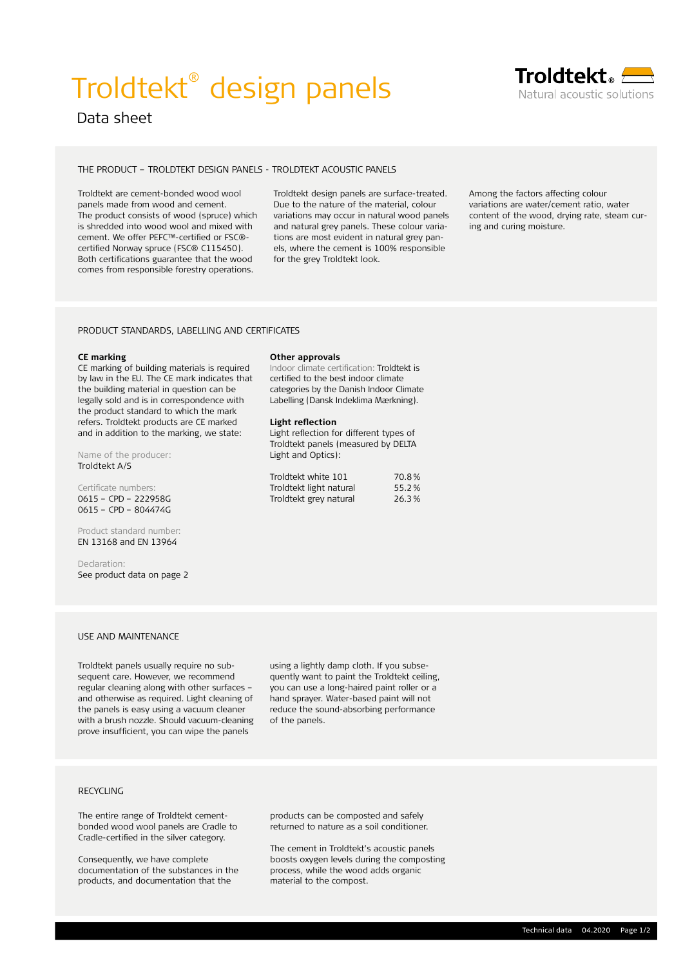# Troldtekt® design panels



## Troldtekt。<del>/ -</del> Natural acoustic solutions

### THE PRODUCT – TROLDTEKT DESIGN PANELS - TROLDTEKT ACOUSTIC PANELS

Troldtekt are cement-bonded wood wool panels made from wood and cement. The product consists of wood (spruce) which is shredded into wood wool and mixed with cement. We offer PEFC™-certified or FSC®certified Norway spruce (FSC® C115450). Both certifications guarantee that the wood comes from responsible forestry operations.

Troldtekt design panels are surface-treated. Due to the nature of the material, colour variations may occur in natural wood panels and natural grey panels. These colour variations are most evident in natural grey panels, where the cement is 100% responsible for the grey Troldtekt look.

**Other approvals**

**Light reflection** 

Light and Optics):

Indoor climate certification: Troldtekt is certified to the best indoor climate categories by the Danish Indoor Climate Labelling (Dansk Indeklima Mærkning).

Light reflection for different types of Troldtekt panels (measured by DELTA

Troldtekt white 101 70.8% Troldtekt light natural 55.2 % Troldtekt grey natural 26.3 % Among the factors affecting colour variations are water/cement ratio, water content of the wood, drying rate, steam curing and curing moisture.

### PRODUCT STANDARDS, LABELLING AND CERTIFICATES

### **CE marking**

CE marking of building materials is required by law in the EU. The CE mark indicates that the building material in question can be legally sold and is in correspondence with the product standard to which the mark refers. Troldtekt products are CE marked and in addition to the marking, we state:

Name of the producer: Troldtekt A/S

Certificate numbers: 0615 – CPD – 222958G 0615 – CPD – 804474G

Product standard number: EN 13168 and EN 13964

Declaration: See product data on page 2

### USE AND MAINTENANCE

Troldtekt panels usually require no subsequent care. However, we recommend regular cleaning along with other surfaces – and otherwise as required. Light cleaning of the panels is easy using a vacuum cleaner with a brush nozzle. Should vacuum-cleaning prove insufficient, you can wipe the panels

using a lightly damp cloth. If you subsequently want to paint the Troldtekt ceiling, you can use a long-haired paint roller or a hand sprayer. Water-based paint will not reduce the sound-absorbing performance of the panels.

The entire range of Troldtekt cementbonded wood wool panels are Cradle to Cradle-certified in the silver category.

Consequently, we have complete documentation of the substances in the products, and documentation that the

products can be composted and safely returned to nature as a soil conditioner.

RECYCLING<br>
The entire range of Troldtekt cement-<br>
bonded wood wool panels are Cradle to<br>
Cradle-certified in the silver category.<br>
Consequently, we have complete<br>
documentation of the substances in the<br>
process, while the The cement in Troldtekt's acoustic panels boosts oxygen levels during the composting process, while the wood adds organic material to the compost.